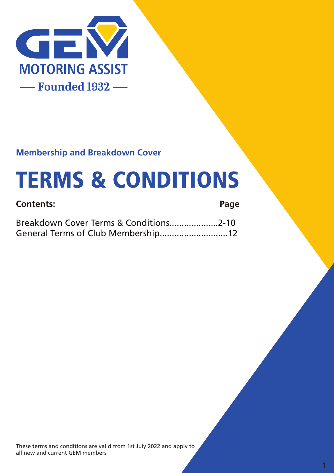

### **Membership and Breakdown Cover**

# TERMS & CONDITIONS

### **Contents:** Breakdown Cover Terms & Conditions....................2-10 General Terms of Club Membership............................12 **Page**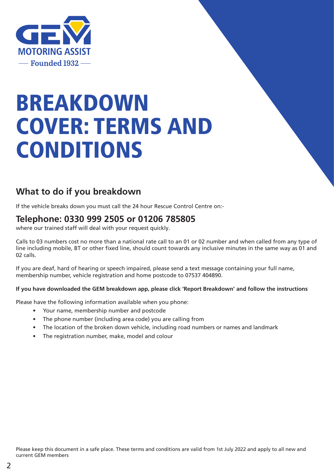

# BREAKDOWN COVER: TERMS AND CONDITIONS

### **What to do if you breakdown**

If the vehicle breaks down you must call the 24 hour Rescue Control Centre on:-

### **Telephone: 0330 999 2505 or 01206 785805**

where our trained staff will deal with your request quickly.

Calls to 03 numbers cost no more than a national rate call to an 01 or 02 number and when called from any type of line including mobile, BT or other fixed line, should count towards any inclusive minutes in the same way as 01 and 02 calls.

If you are deaf, hard of hearing or speech impaired, please send a text message containing your full name, membership number, vehicle registration and home postcode to 07537 404890.

#### **If you have downloaded the GEM breakdown app, please click 'Report Breakdown' and follow the instructions**

Please have the following information available when you phone:

- Your name, membership number and postcode
- The phone number (including area code) you are calling from
- The location of the broken down vehicle, including road numbers or names and landmark
- The registration number, make, model and colour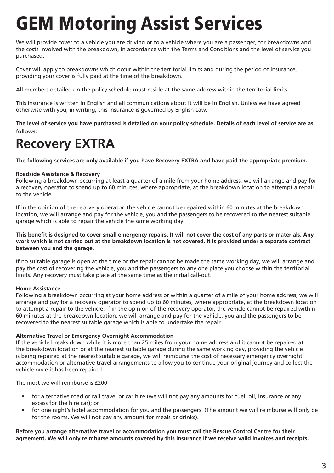# GEM Motoring Assist Services

We will provide cover to a vehicle you are driving or to a vehicle where you are a passenger, for breakdowns and the costs involved with the breakdown, in accordance with the Terms and Conditions and the level of service you purchased.

Cover will apply to breakdowns which occur within the territorial limits and during the period of insurance, providing your cover is fully paid at the time of the breakdown.

All members detailed on the policy schedule must reside at the same address within the territorial limits.

This insurance is written in English and all communications about it will be in English. Unless we have agreed otherwise with you, in writing, this insurance is governed by English Law.

**The level of service you have purchased is detailed on your policy schedule. Details of each level of service are as follows:**

# **Recovery EXTRA**

**The following services are only available if you have Recovery EXTRA and have paid the appropriate premium.**

#### **Roadside Assistance & Recovery**

Following a breakdown occurring at least a quarter of a mile from your home address, we will arrange and pay for a recovery operator to spend up to 60 minutes, where appropriate, at the breakdown location to attempt a repair to the vehicle.

If in the opinion of the recovery operator, the vehicle cannot be repaired within 60 minutes at the breakdown location, we will arrange and pay for the vehicle, you and the passengers to be recovered to the nearest suitable garage which is able to repair the vehicle the same working day.

**This benefit is designed to cover small emergency repairs. It will not cover the cost of any parts or materials. Any work which is not carried out at the breakdown location is not covered. It is provided under a separate contract between you and the garage.**

If no suitable garage is open at the time or the repair cannot be made the same working day, we will arrange and pay the cost of recovering the vehicle, you and the passengers to any one place you choose within the territorial limits. Any recovery must take place at the same time as the initial call-out.

#### **Home Assistance**

Following a breakdown occurring at your home address or within a quarter of a mile of your home address, we will arrange and pay for a recovery operator to spend up to 60 minutes, where appropriate, at the breakdown location to attempt a repair to the vehicle. If in the opinion of the recovery operator, the vehicle cannot be repaired within 60 minutes at the breakdown location, we will arrange and pay for the vehicle, you and the passengers to be recovered to the nearest suitable garage which is able to undertake the repair.

#### **Alternative Travel or Emergency Overnight Accommodation**

If the vehicle breaks down while it is more than 25 miles from your home address and it cannot be repaired at the breakdown location or at the nearest suitable garage during the same working day, providing the vehicle is being repaired at the nearest suitable garage, we will reimburse the cost of necessary emergency overnight accommodation or alternative travel arrangements to allow you to continue your original journey and collect the vehicle once it has been repaired.

The most we will reimburse is £200:

- for alternative road or rail travel or car hire (we will not pay any amounts for fuel, oil, insurance or any excess for the hire car); or
- for one night's hotel accommodation for you and the passengers. (The amount we will reimburse will only be for the rooms. We will not pay any amount for meals or drinks).

**Before you arrange alternative travel or accommodation you must call the Rescue Control Centre for their agreement. We will only reimburse amounts covered by this insurance if we receive valid invoices and receipts.**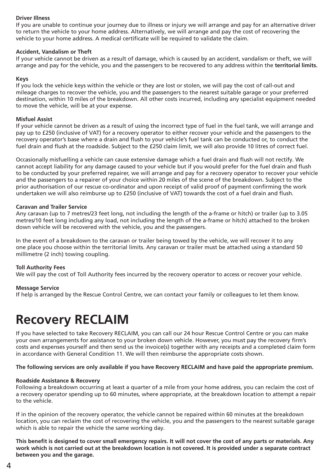#### **Driver Illness**

If you are unable to continue your journey due to illness or injury we will arrange and pay for an alternative driver to return the vehicle to your home address. Alternatively, we will arrange and pay the cost of recovering the vehicle to your home address. A medical certificate will be required to validate the claim.

#### **Accident, Vandalism or Theft**

If your vehicle cannot be driven as a result of damage, which is caused by an accident, vandalism or theft, we will arrange and pay for the vehicle, you and the passengers to be recovered to any address within the **territorial limits.**

#### **Keys**

If you lock the vehicle keys within the vehicle or they are lost or stolen, we will pay the cost of call-out and mileage charges to recover the vehicle, you and the passengers to the nearest suitable garage or your preferred destination, within 10 miles of the breakdown. All other costs incurred, including any specialist equipment needed to move the vehicle, will be at your expense.

#### **Misfuel Assist**

If your vehicle cannot be driven as a result of using the incorrect type of fuel in the fuel tank, we will arrange and pay up to £250 (inclusive of VAT) for a recovery operator to either recover your vehicle and the passengers to the recovery operator's base where a drain and flush to your vehicle's fuel tank can be conducted or, to conduct the fuel drain and flush at the roadside. Subject to the £250 claim limit, we will also provide 10 litres of correct fuel.

Occasionally misfuelling a vehicle can cause extensive damage which a fuel drain and flush will not rectify. We cannot accept liability for any damage caused to your vehicle but if you would prefer for the fuel drain and flush to be conducted by your preferred repairer, we will arrange and pay for a recovery operator to recover your vehicle and the passengers to a repairer of your choice within 20 miles of the scene of the breakdown. Subject to the prior authorisation of our rescue co-ordinator and upon receipt of valid proof of payment confirming the work undertaken we will also reimburse up to £250 (inclusive of VAT) towards the cost of a fuel drain and flush.

#### **Caravan and Trailer Service**

Any caravan (up to 7 metres/23 feet long, not including the length of the a-frame or hitch) or trailer (up to 3.05 metres/10 feet long including any load, not including the length of the a-frame or hitch) attached to the broken down vehicle will be recovered with the vehicle, you and the passengers.

In the event of a breakdown to the caravan or trailer being towed by the vehicle, we will recover it to any one place you choose within the territorial limits. Any caravan or trailer must be attached using a standard 50 millimetre (2 inch) towing coupling.

#### **Toll Authority Fees**

We will pay the cost of Toll Authority fees incurred by the recovery operator to access or recover your vehicle.

#### **Message Service**

If help is arranged by the Rescue Control Centre, we can contact your family or colleagues to let them know.

# **Recovery RECLAIM**

If you have selected to take Recovery RECLAIM, you can call our 24 hour Rescue Control Centre or you can make your own arrangements for assistance to your broken down vehicle. However, you must pay the recovery firm's costs and expenses yourself and then send us the invoice(s) together with any receipts and a completed claim form in accordance with General Condition 11. We will then reimburse the appropriate costs shown.

#### **The following services are only available if you have Recovery RECLAIM and have paid the appropriate premium.**

#### **Roadside Assistance & Recovery**

Following a breakdown occurring at least a quarter of a mile from your home address, you can reclaim the cost of a recovery operator spending up to 60 minutes, where appropriate, at the breakdown location to attempt a repair to the vehicle.

If in the opinion of the recovery operator, the vehicle cannot be repaired within 60 minutes at the breakdown location, you can reclaim the cost of recovering the vehicle, you and the passengers to the nearest suitable garage which is able to repair the vehicle the same working day.

**This benefit is designed to cover small emergency repairs. It will not cover the cost of any parts or materials. Any work which is not carried out at the breakdown location is not covered. It is provided under a separate contract between you and the garage.**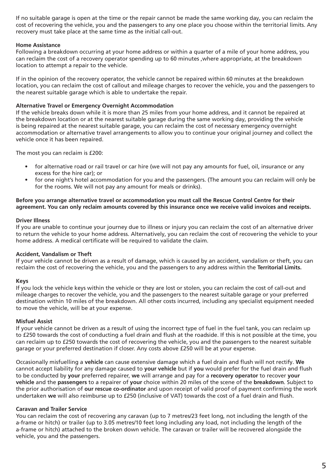If no suitable garage is open at the time or the repair cannot be made the same working day, you can reclaim the cost of recovering the vehicle, you and the passengers to any one place you choose within the territorial limits. Any recovery must take place at the same time as the initial call-out.

#### **Home Assistance**

Following a breakdown occurring at your home address or within a quarter of a mile of your home address, you can reclaim the cost of a recovery operator spending up to 60 minutes ,where appropriate, at the breakdown location to attempt a repair to the vehicle.

If in the opinion of the recovery operator, the vehicle cannot be repaired within 60 minutes at the breakdown location, you can reclaim the cost of callout and mileage charges to recover the vehicle, you and the passengers to the nearest suitable garage which is able to undertake the repair.

#### **Alternative Travel or Emergency Overnight Accommodation**

If the vehicle breaks down while it is more than 25 miles from your home address, and it cannot be repaired at the breakdown location or at the nearest suitable garage during the same working day, providing the vehicle is being repaired at the nearest suitable garage, you can reclaim the cost of necessary emergency overnight accommodation or alternative travel arrangements to allow you to continue your original journey and collect the vehicle once it has been repaired.

The most you can reclaim is £200:

- for alternative road or rail travel or car hire (we will not pay any amounts for fuel, oil, insurance or any excess for the hire car); or
- for one night's hotel accommodation for you and the passengers. (The amount you can reclaim will only be for the rooms. We will not pay any amount for meals or drinks).

#### **Before you arrange alternative travel or accommodation you must call the Rescue Control Centre for their agreement. You can only reclaim amounts covered by this insurance once we receive valid invoices and receipts.**

#### **Driver Illness**

If you are unable to continue your journey due to illness or injury you can reclaim the cost of an alternative driver to return the vehicle to your home address. Alternatively, you can reclaim the cost of recovering the vehicle to your home address. A medical certificate will be required to validate the claim.

#### **Accident, Vandalism or Theft**

If your vehicle cannot be driven as a result of damage, which is caused by an accident, vandalism or theft, you can reclaim the cost of recovering the vehicle, you and the passengers to any address within the **Territorial Limits.**

#### **Keys**

If you lock the vehicle keys within the vehicle or they are lost or stolen, you can reclaim the cost of call-out and mileage charges to recover the vehicle, you and the passengers to the nearest suitable garage or your preferred destination within 10 miles of the breakdown. All other costs incurred, including any specialist equipment needed to move the vehicle, will be at your expense.

#### **Misfuel Assist**

If your vehicle cannot be driven as a result of using the incorrect type of fuel in the fuel tank, you can reclaim up to £250 towards the cost of conducting a fuel drain and flush at the roadside. If this is not possible at the time, you can reclaim up to £250 towards the cost of recovering the vehicle, you and the passengers to the nearest suitable garage or your preferred destination if closer. Any costs above £250 will be at your expense.

Occasionally misfuelling a **vehicle** can cause extensive damage which a fuel drain and flush will not rectify. **We** cannot accept liability for any damage caused to **your vehicle** but if **you** would prefer for the fuel drain and flush to be conducted by **your** preferred repairer, **we** will arrange and pay for a **recovery operator** to recover **your vehicle** and the **passengers** to a repairer of **your** choice within 20 miles of the scene of the **breakdown**. Subject to the prior authorisation of **our rescue co-ordinator** and upon receipt of valid proof of payment confirming the work undertaken **we** will also reimburse up to £250 (inclusive of VAT) towards the cost of a fuel drain and flush.

#### **Caravan and Trailer Service**

You can reclaim the cost of recovering any caravan (up to 7 metres/23 feet long, not including the length of the a-frame or hitch) or trailer (up to 3.05 metres/10 feet long including any load, not including the length of the a-frame or hitch) attached to the broken down vehicle. The caravan or trailer will be recovered alongside the vehicle, you and the passengers.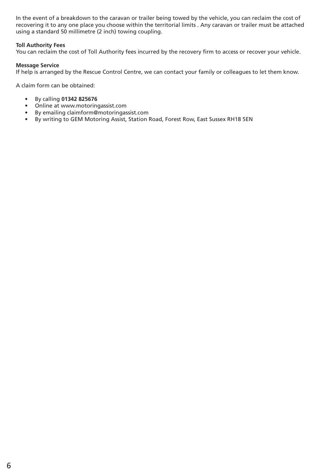In the event of a breakdown to the caravan or trailer being towed by the vehicle, you can reclaim the cost of recovering it to any one place you choose within the territorial limits . Any caravan or trailer must be attached using a standard 50 millimetre (2 inch) towing coupling.

#### **Toll Authority Fees**

You can reclaim the cost of Toll Authority fees incurred by the recovery firm to access or recover your vehicle.

#### **Message Service**

If help is arranged by the Rescue Control Centre, we can contact your family or colleagues to let them know.

A claim form can be obtained:

- By calling **01342 825676**
- Online at www.motoringassist.com
- By emailing claimform@motoringassist.com
- By writing to GEM Motoring Assist, Station Road, Forest Row, East Sussex RH18 5EN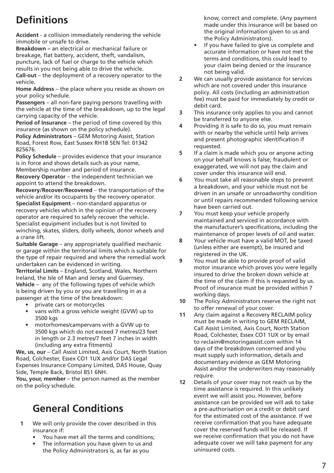# **Definitions**

**Accident** - a collision immediately rendering the vehicle immobile or unsafe to drive.

**Breakdown –** an electrical or mechanical failure or breakage, flat battery, accident, theft, vandalism, puncture, lack of fuel or charge to the vehicle which results in you not being able to drive the vehicle.

**Call-out** – the deployment of a recovery operator to the vehicle.

**Home Address** – the place where you reside as shown on your policy schedule.

**Passengers** – all non-fare paying persons travelling with the vehicle at the time of the breakdown, up to the legal carrying capacity of the vehicle.

**Period of Insurance** – the period of time covered by this insurance (as shown on the policy schedule).

**Policy Administrators** – GEM Motoring Assist, Station Road, Forest Row, East Sussex RH18 5EN Tel: 01342 825676.

**Policy Schedule** – provides evidence that your insurance is in force and shows details such as your name, Membership number and period of insurance.

**Recovery Operator** – the independent technician we appoint to attend the breakdown.

**Recovery/Recover/Recovered** – the transportation of the vehicle and/or its occupants by the recovery operator. **Specialist Equipment** – non-standard apparatus or recovery vehicles which in the opinion of the recovery operator are required to safely recover the vehicle. Specialist equipment includes but is not limited to winching, skates, sliders, dolly wheels, donor wheels and a crane lift.

**Suitable Garage** – any appropriately qualified mechanic or garage within the territorial limits which is suitable for the type of repair required and where the remedial work undertaken can be evidenced in writing.

**Territorial Limits** – England, Scotland, Wales, Northern Ireland, the Isle of Man and Jersey and Guernsey. **Vehicle** – any of the following types of vehicle which is being driven by you or you are travelling in as a passenger at the time of the breakdown:

- private cars or motorcycles
- vans with a gross vehicle weight (GVW) up to 3500 kgs
- motorhomes/campervans with a GVW up to 3500 kgs which do not exceed 7 metres/23 feet in length or 2.3 metres/7 feet 7 inches in width (including any extra fitments)

**We, us, our** – Call Assist Limited, Axis Court, North Station Road, Colchester, Essex CO1 1UX and/or DAS Legal Expenses Insurance Company Limited, DAS House, Quay Side, Temple Back, Bristol BS1 6NH.

**You, your, member** – the person named as the member on the policy schedule.

# **General Conditions**

- We will only provide the cover described in this insurance if: **1**
	- You have met all the terms and conditions;
	- The information you have given to us and the Policy Administrators is, as far as you

know, correct and complete. (Any payment made under this insurance will be based on the original information given to us and the Policy Administrators).

- If you have failed to give us complete and accurate information or have not met the terms and conditions, this could lead to your claim being denied or the insurance not being valid.
- We can usually provide assistance for services which are not covered under this insurance policy. All costs (including an administration fee) must be paid for immediately by credit or debit card. **2**
- This insurance only applies to you and cannot be transferred to anyone else. **3**
- Providing it is safe to do so, you must remain with or nearby the vehicle until help arrives and present photographic identification if requested. **4**
- If a claim is made which you or anyone acting on your behalf knows is false, fraudulent or exaggerated, we will not pay the claim and cover under this insurance will end. **5**
- You must take all reasonable steps to prevent a breakdown, and your vehicle must not be driven in an unsafe or unroadworthy condition or until repairs recommended following service have been carried out. **6**
- You must keep your vehicle properly maintained and serviced in accordance with the manufacturer's specifications, including the maintenance of proper levels of oil and water. **7**
- Your vehicle must have a valid MOT, be taxed (unless either are exempt), be insured and registered in the UK. **8**
- You must be able to provide proof of valid motor insurance which proves you were legally insured to drive the broken down vehicle at the time of the claim if this is requested by us. Proof of insurance must be provided within 7 working days. **9**
- The Policy Administrators reserve the right not to offer renewal of your cover. **10**
- Any claim against a Recovery RECLAIM policy must be made in writing to GEM RECLAIM, Call Assist Limited, Axis Court, North Station Road, Colchester, Essex CO1 1UX or by email to reclaim@motoringassist.com within 14 days of the breakdown concerned and you must supply such information, details and documentary evidence as GEM Motoring Assist and/or the underwriters may reasonably require. **11**
- Details of your cover may not reach us by the time assistance is required. In this unlikely event we will assist you. However, before assistance can be provided we will ask to take a pre-authorisation on a credit or debit card for the estimated cost of the assistance. If we receive confirmation that you have adequate cover the reserved funds will be released. If we receive confirmation that you do not have adequate cover we will take payment for any uninsured costs. **12**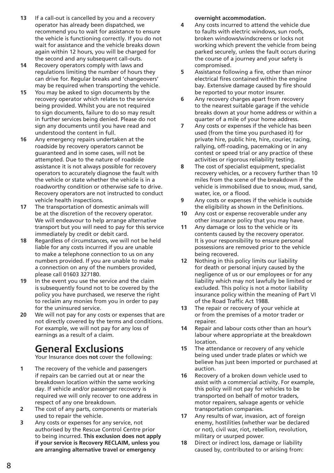- If a call-out is cancelled by you and a recovery operator has already been dispatched, we recommend you to wait for assistance to ensure the vehicle is functioning correctly. If you do not wait for assistance and the vehicle breaks down again within 12 hours, you will be charged for the second and any subsequent call-outs. **13**
- Recovery operators comply with laws and regulations limiting the number of hours they can drive for. Regular breaks and 'changeovers' may be required when transporting the vehicle. **14**
- You may be asked to sign documents by the recovery operator which relates to the service being provided. Whilst you are not required to sign documents, failure to do so may result in further services being denied. Please do not sign any documents until you have read and understood the content in full. **15**
- Any emergency repairs undertaken at the roadside by recovery operators cannot be guaranteed and in some cases, will not be attempted. Due to the nature of roadside assistance it is not always possible for recovery operators to accurately diagnose the fault with the vehicle or state whether the vehicle is in a roadworthy condition or otherwise safe to drive. Recovery operators are not instructed to conduct vehicle health inspections. **16**
- The transportation of domestic animals will be at the discretion of the recovery operator. We will endeavour to help arrange alternative transport but you will need to pay for this service immediately by credit or debit card. **17**
- Regardless of circumstances, we will not be held liable for any costs incurred if you are unable to make a telephone connection to us on any numbers provided. If you are unable to make a connection on any of the numbers provided, please call 01603 327180. **18**
- In the event you use the service and the claim is subsequently found not to be covered by the policy you have purchased, we reserve the right to reclaim any monies from you in order to pay for the uninsured service. **19**
- We will not pay for any costs or expenses that are not directly covered by the terms and conditions. For example, we will not pay for any loss of earnings as a result of a claim. **20**

# **General Exclusions**

Your Insurance does **not** cover the following:

- The recovery of the vehicle and passengers if repairs can be carried out at or near the breakdown location within the same working day. If vehicle and/or passenger recovery is required we will only recover to one address in respect of any one breakdown. **1**
- The cost of any parts, components or materials used to repair the vehicle. **2**
- Any costs or expenses for any service, not authorised by the Rescue Control Centre prior to being incurred. **This exclusion does not apply if your service is Recovery RECLAIM, unless you are arranging alternative travel or emergency 3**

**overnight accommodation.**

- Any costs incurred to attend the vehicle due to faults with electric windows, sun roofs, broken windows/windscreens or locks not working which prevent the vehicle from being parked securely, unless the fault occurs during the course of a journey and your safety is compromised. **4**
- Assistance following a fire, other than minor electrical fires contained within the engine bay. Extensive damage caused by fire should be reported to your motor insurer. **5**
- Any recovery charges apart from recovery to the nearest suitable garage if the vehicle breaks down at your home address or within a quarter of a mile of your home address. **6**
- Any costs or expenses if the vehicle has been used (from the time you purchased it) for private hire, public hire, hire, courier, racing, rallying, off-roading, pacemaking or in any contest or speed trial or any practice of these activities or rigorous reliability testing. **7**
- The cost of specialist equipment, specialist recovery vehicles, or a recovery further than 10 miles from the scene of the breakdown if the vehicle is immobilised due to snow, mud, sand, water, ice, or a flood. **8**
- Any costs or expenses if the vehicle is outside the eligibility as shown in the Definitions. **9**
- Any cost or expense recoverable under any other insurance policy that you may have. **10**
- Any damage or loss to the vehicle or its contents caused by the recovery operator. It is your responsibility to ensure personal possessions are removed prior to the vehicle being recovered. **11**
- Nothing in this policy limits our liability for death or personal injury caused by the negligence of us or our employees or for any liability which may not lawfully be limited or excluded. This policy is not a motor liability insurance policy within the meaning of Part VI of the Road Traffic Act 1988. **12**
- The repair or recovery of your vehicle at or from the premises of a motor trader or repairer. **13**
- Repair and labour costs other than an hour's labour where appropriate at the breakdown location. **14**
- The attendance or recovery of any vehicle being used under trade plates or which we believe has just been imported or purchased at auction. **15**
- Recovery of a broken down vehicle used to assist with a commercial activity. For example, this policy will not pay for vehicles to be transported on behalf of motor traders, motor repairers, salvage agents or vehicle transportation companies. **16**
- Any results of war, invasion, act of foreign enemy, hostilities (whether war be declared or not), civil war, riot, rebellion, revolution, military or usurped power. **17**
- Direct or indirect loss, damage or liability caused by, contributed to or arising from: **18**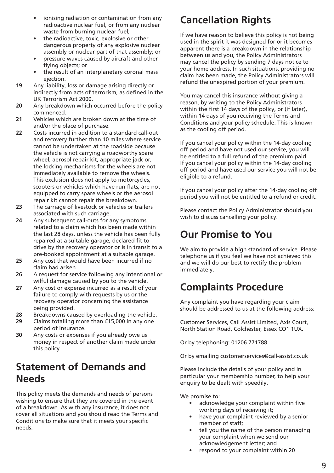- ionising radiation or contamination from any radioactive nuclear fuel, or from any nuclear waste from burning nuclear fuel;
- the radioactive, toxic, explosive or other dangerous property of any explosive nuclear assembly or nuclear part of that assembly; or
- pressure waves caused by aircraft and other flying objects; or
- the result of an interplanetary coronal mass ejection.
- Any liability, loss or damage arising directly or indirectly from acts of terrorism, as defined in the UK Terrorism Act 2000. **19**
- Any breakdown which occurred before the policy commenced. **20**
- Vehicles which are broken down at the time of and/or the place of purchase. **21**
- Costs incurred in addition to a standard call-out and recovery further than 10 miles where service cannot be undertaken at the roadside because the vehicle is not carrying a roadworthy spare wheel, aerosol repair kit, appropriate jack or, the locking mechanisms for the wheels are not immediately available to remove the wheels. This exclusion does not apply to motorcycles, scooters or vehicles which have run flats, are not equipped to carry spare wheels or the aerosol repair kit cannot repair the breakdown. **22**
- The carriage of livestock or vehicles or trailers associated with such carriage. **23**
- Any subsequent call-outs for any symptoms related to a claim which has been made within the last 28 days, unless the vehicle has been fully repaired at a suitable garage, declared fit to drive by the recovery operator or is in transit to a pre-booked appointment at a suitable garage. **24**
- Any cost that would have been incurred if no claim had arisen. **25**
- A request for service following any intentional or wilful damage caused by you to the vehicle. **26**
- Any cost or expense incurred as a result of your failure to comply with requests by us or the recovery operator concerning the assistance being provided. **27**
- Breakdowns caused by overloading the vehicle. **28**
- Claims totalling more than £15,000 in any one period of insurance. **29**
- Any costs or expenses if you already owe us money in respect of another claim made under this policy. **30**

### **Statement of Demands and Needs**

This policy meets the demands and needs of persons wishing to ensure that they are covered in the event of a breakdown. As with any insurance, it does not cover all situations and you should read the Terms and Conditions to make sure that it meets your specific needs.

# **Cancellation Rights**

If we have reason to believe this policy is not being used in the spirit it was designed for or it becomes apparent there is a breakdown in the relationship between us and you, the Policy Administrators may cancel the policy by sending 7 days notice to your home address. In such situations, providing no claim has been made, the Policy Administrators will refund the unexpired portion of your premium.

You may cancel this insurance without giving a reason, by writing to the Policy Administrators within the first 14 days of the policy, or (if later), within 14 days of you receiving the Terms and Conditions and your policy schedule. This is known as the cooling off period.

If you cancel your policy within the 14-day cooling off period and have not used our service, you will be entitled to a full refund of the premium paid. If you cancel your policy within the 14-day cooling off period and have used our service you will not be eligible to a refund.

If you cancel your policy after the 14-day cooling off period you will not be entitled to a refund or credit.

Please contact the Policy Administrator should you wish to discuss cancelling your policy.

# **Our Promise to You**

We aim to provide a high standard of service. Please telephone us if you feel we have not achieved this and we will do our best to rectify the problem immediately.

# **Complaints Procedure**

Any complaint you have regarding your claim should be addressed to us at the following address:

Customer Services, Call Assist Limited, Axis Court, North Station Road, Colchester, Essex CO1 1UX.

Or by telephoning: 01206 771788.

Or by emailing customerservices@call-assist.co.uk

Please include the details of your policy and in particular your membership number, to help your enquiry to be dealt with speedily.

We promise to:

- acknowledge your complaint within five working days of receiving it;
- have your complaint reviewed by a senior member of staff;
- tell you the name of the person managing your complaint when we send our acknowledgement letter; and
- respond to your complaint within 20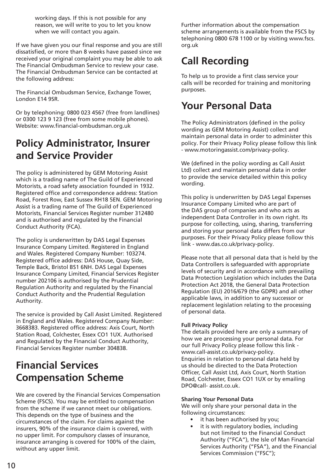working days. If this is not possible for any reason, we will write to you to let you know when we will contact you again.

If we have given you our final response and you are still dissatisfied, or more than 8 weeks have passed since we received your original complaint you may be able to ask The Financial Ombudsman Service to review your case. The Financial Ombudsman Service can be contacted at the following address:

The Financial Ombudsman Service, Exchange Tower, London E14 9SR.

Or by telephoning: 0800 023 4567 (free from landlines) or 0300 123 9 123 (free from some mobile phones). Website: www.financial-ombudsman.org.uk

### **Policy Administrator, Insurer and Service Provider**

The policy is administered by GEM Motoring Assist which is a trading name of The Guild of Experienced Motorists, a road safety association founded in 1932. Registered office and correspondence address: Station Road, Forest Row, East Sussex RH18 5EN. GEM Motoring Assist is a trading name of The Guild of Experienced Motorists, Financial Services Register number 312480 and is authorised and regulated by the Financial Conduct Authority (FCA).

The policy is underwritten by DAS Legal Expenses Insurance Company Limited. Registered in England and Wales. Registered Company Number: 103274. Registered office address: DAS House, Quay Side, Temple Back, Bristol BS1 6NH. DAS Legal Expenses Insurance Company Limited, Financial Services Register number 202106 is authorised by the Prudential Regulation Authority and regulated by the Financial Conduct Authority and the Prudential Regulation Authority.

The service is provided by Call Assist Limited. Registered in England and Wales. Registered Company Number: 3668383. Registered office address: Axis Court, North Station Road, Colchester, Essex CO1 1UX. Authorised and Regulated by the Financial Conduct Authority, Financial Services Register number 304838.

# **Financial Services Compensation Scheme**

We are covered by the Financial Services Compensation Scheme (FSCS). You may be entitled to compensation from the scheme if we cannot meet our obligations. This depends on the type of business and the circumstances of the claim. For claims against the insurers, 90% of the insurance claim is covered, with no upper limit. For compulsory classes of insurance, insurance arranging is covered for 100% of the claim, without any upper limit.

Further information about the compensation scheme arrangements is available from the FSCS by telephoning 0800 678 1100 or by visiting www.fscs. org.uk

# **Call Recording**

To help us to provide a first class service your calls will be recorded for training and monitoring purposes.

# **Your Personal Data**

The Policy Administrators (defined in the policy wording as GEM Motoring Assist) collect and maintain personal data in order to administer this policy. For their Privacy Policy please follow this link - www.motoringassist.com/privacy-policy.

We (defined in the policy wording as Call Assist Ltd) collect and maintain personal data in order to provide the service detailed within this policy wording.

This policy is underwritten by DAS Legal Expenses Insurance Company Limited who are part of the DAS group of companies and who acts as independent Data Controller in its own right. Its purpose for collecting, using, sharing, transferring and storing your personal data differs from our purposes. For their Privacy Policy please follow this link - www.das.co.uk/privacy-policy.

Please note that all personal data that is held by the Data Controllers is safeguarded with appropriate levels of security and in accordance with prevailing Data Protection Legislation which includes the Data Protection Act 2018, the General Data Protection Regulation (EU) 2016/679 (the GDPR) and all other applicable laws, in addition to any successor or replacement legislation relating to the processing of personal data.

#### **Full Privacy Policy**

The details provided here are only a summary of how we are processing your personal data. For our full Privacy Policy please follow this link www.call-assist.co.uk/privacy-policy. Enquiries in relation to personal data held by us should be directed to the Data Protection Officer, Call Assist Ltd, Axis Court, North Station Road, Colchester, Essex CO1 1UX or by emailing DPO@call- assist.co.uk.

#### **Sharing Your Personal Data**

We will only share your personal data in the following circumstances:

- it has been authorised by you;
- it is with regulatory bodies, including but not limited to the Financial Conduct Authority ("FCA"), the Isle of Man Financial Services Authority ("FSA"), and the Financial Services Commission ("FSC");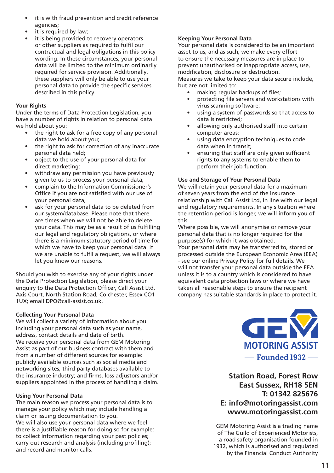- it is with fraud prevention and credit reference agencies;
- it is required by law;
- it is being provided to recovery operators or other suppliers as required to fulfil our contractual and legal obligations in this policy wording. In these circumstances, your personal data will be limited to the minimum ordinarily required for service provision. Additionally, these suppliers will only be able to use your personal data to provide the specific services described in this policy.

#### **Your Rights**

Under the terms of Data Protection Legislation, you have a number of rights in relation to personal data we hold about you:

- the right to ask for a free copy of any personal data we hold about you;
- the right to ask for correction of any inaccurate personal data held;
- object to the use of your personal data for direct marketing;
- withdraw any permission you have previously given to us to process your personal data;
- complain to the Information Commissioner's Office if you are not satisfied with our use of your personal data;
- ask for your personal data to be deleted from our system/database. Please note that there are times when we will not be able to delete your data. This may be as a result of us fulfilling our legal and regulatory obligations, or where there is a minimum statutory period of time for which we have to keep your personal data. If we are unable to fulfil a request, we will always let you know our reasons.

Should you wish to exercise any of your rights under the Data Protection Legislation, please direct your enquiry to the Data Protection Officer, Call Assist Ltd, Axis Court, North Station Road, Colchester, Essex CO1 1UX; email DPO@call-assist.co.uk.

#### **Collecting Your Personal Data**

We will collect a variety of information about you including your personal data such as your name, address, contact details and date of birth. We receive your personal data from GEM Motoring Assist as part of our business contract with them and from a number of different sources for example: publicly available sources such as social media and networking sites; third party databases available to the insurance industry; and firms, loss adjustors and/or suppliers appointed in the process of handling a claim.

#### **Using Your Personal Data**

The main reason we process your personal data is to manage your policy which may include handling a claim or issuing documentation to you. We will also use your personal data where we feel there is a justifiable reason for doing so for example: to collect information regarding your past policies; carry out research and analysis (including profiling); and record and monitor calls.

#### **Keeping Your Personal Data**

Your personal data is considered to be an important asset to us, and as such, we make every effort to ensure the necessary measures are in place to prevent unauthorised or inappropriate access, use, modification, disclosure or destruction. Measures we take to keep your data secure include, but are not limited to:

- making regular backups of files;
- protecting file servers and workstations with virus scanning software;
- using a system of passwords so that access to data is restricted;
- allowing only authorised staff into certain computer areas;
- using data encryption techniques to code data when in transit;
- ensuring that staff are only given sufficient rights to any systems to enable them to perform their job function.

#### **Use and Storage of Your Personal Data**

We will retain your personal data for a maximum of seven years from the end of the insurance relationship with Call Assist Ltd, in line with our legal and regulatory requirements. In any situation where the retention period is longer, we will inform you of this.

Where possible, we will anonymise or remove your personal data that is no longer required for the purpose(s) for which it was obtained.

Your personal data may be transferred to, stored or processed outside the European Economic Area (EEA) - see our online Privacy Policy for full details. We will not transfer your personal data outside the EEA unless it is to a country which is considered to have equivalent data protection laws or where we have taken all reasonable steps to ensure the recipient company has suitable standards in place to protect it.



#### **Station Road, Forest Row East Sussex, RH18 5EN T: 01342 825676 E: info@motoringassist.com www.motoringassist.com**

GEM Motoring Assist is a trading name of The Guild of Experienced Motorists, a road safety organisation founded in 1932, which is authorised and regulated by the Financial Conduct Authority